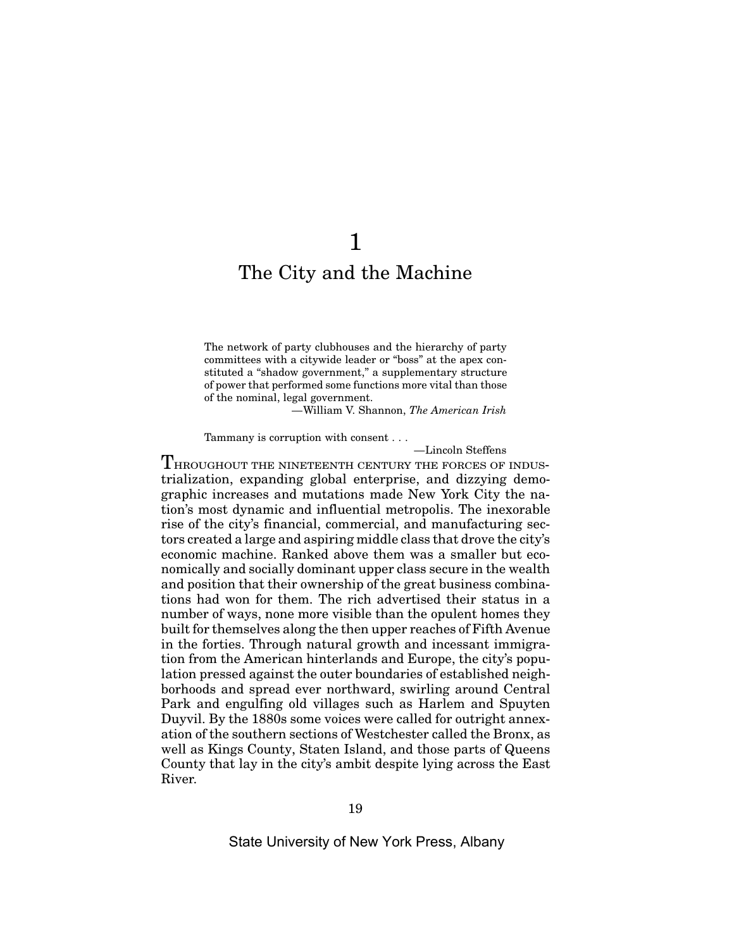## 1

## The City and the Machine

The network of party clubhouses and the hierarchy of party committees with a citywide leader or "boss" at the apex constituted a "shadow government," a supplementary structure of power that performed some functions more vital than those of the nominal, legal government.

—William V. Shannon, *The American Irish*

Tammany is corruption with consent . . .

—Lincoln Steffens

THROUGHOUT THE NINETEENTH CENTURY THE FORCES OF INDUStrialization, expanding global enterprise, and dizzying demographic increases and mutations made New York City the nation's most dynamic and influential metropolis. The inexorable rise of the city's financial, commercial, and manufacturing sectors created a large and aspiring middle class that drove the city's economic machine. Ranked above them was a smaller but economically and socially dominant upper class secure in the wealth and position that their ownership of the great business combinations had won for them. The rich advertised their status in a number of ways, none more visible than the opulent homes they built for themselves along the then upper reaches of Fifth Avenue in the forties. Through natural growth and incessant immigration from the American hinterlands and Europe, the city's population pressed against the outer boundaries of established neighborhoods and spread ever northward, swirling around Central Park and engulfing old villages such as Harlem and Spuyten Duyvil. By the 1880s some voices were called for outright annexation of the southern sections of Westchester called the Bronx, as well as Kings County, Staten Island, and those parts of Queens County that lay in the city's ambit despite lying across the East River.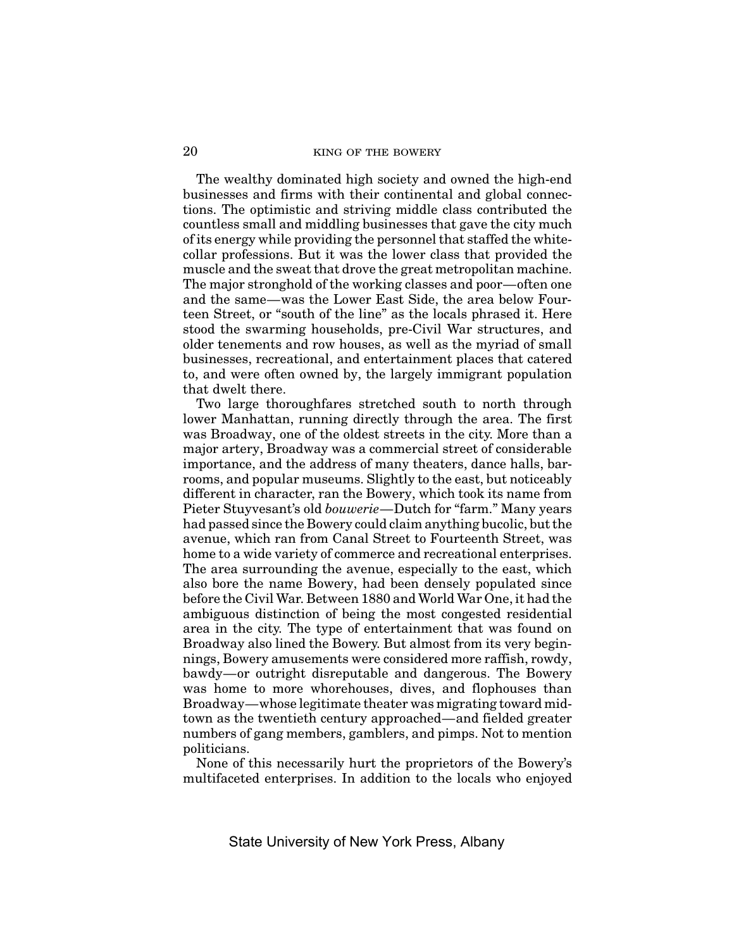The wealthy dominated high society and owned the high-end businesses and firms with their continental and global connections. The optimistic and striving middle class contributed the countless small and middling businesses that gave the city much of its energy while providing the personnel that staffed the whitecollar professions. But it was the lower class that provided the muscle and the sweat that drove the great metropolitan machine. The major stronghold of the working classes and poor—often one and the same—was the Lower East Side, the area below Fourteen Street, or "south of the line" as the locals phrased it. Here stood the swarming households, pre-Civil War structures, and older tenements and row houses, as well as the myriad of small businesses, recreational, and entertainment places that catered to, and were often owned by, the largely immigrant population that dwelt there.

Two large thoroughfares stretched south to north through lower Manhattan, running directly through the area. The first was Broadway, one of the oldest streets in the city. More than a major artery, Broadway was a commercial street of considerable importance, and the address of many theaters, dance halls, barrooms, and popular museums. Slightly to the east, but noticeably different in character, ran the Bowery, which took its name from Pieter Stuyvesant's old *bouwerie*—Dutch for "farm." Many years had passed since the Bowery could claim anything bucolic, but the avenue, which ran from Canal Street to Fourteenth Street, was home to a wide variety of commerce and recreational enterprises. The area surrounding the avenue, especially to the east, which also bore the name Bowery, had been densely populated since before the Civil War. Between 1880 and World War One, it had the ambiguous distinction of being the most congested residential area in the city. The type of entertainment that was found on Broadway also lined the Bowery. But almost from its very beginnings, Bowery amusements were considered more raffish, rowdy, bawdy—or outright disreputable and dangerous. The Bowery was home to more whorehouses, dives, and flophouses than Broadway—whose legitimate theater was migrating toward midtown as the twentieth century approached—and fielded greater numbers of gang members, gamblers, and pimps. Not to mention politicians.

None of this necessarily hurt the proprietors of the Bowery's multifaceted enterprises. In addition to the locals who enjoyed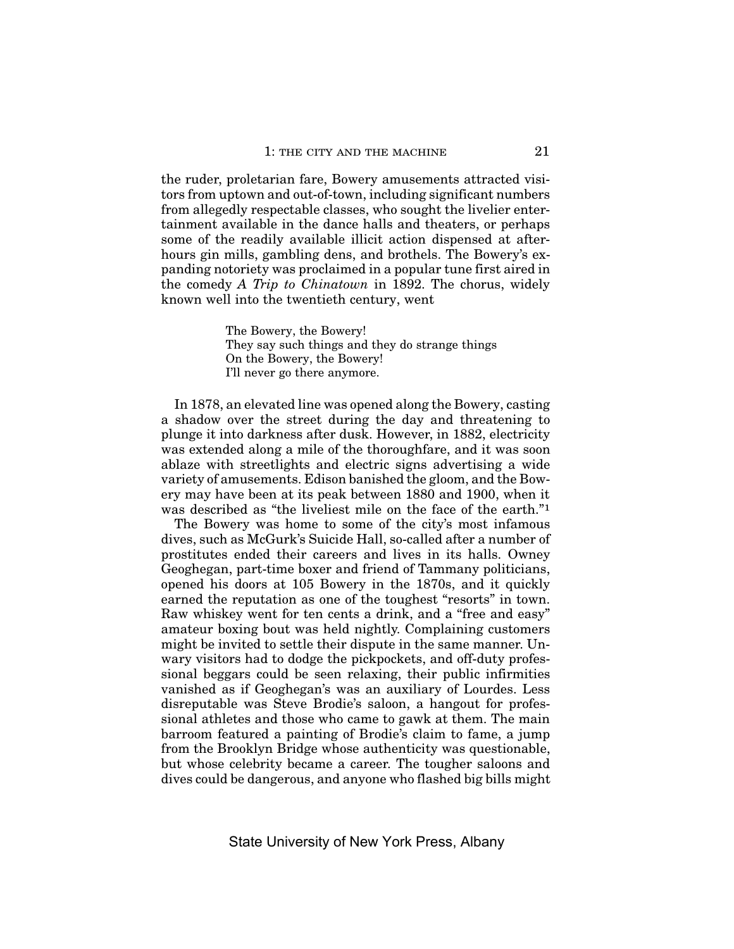the ruder, proletarian fare, Bowery amusements attracted visitors from uptown and out-of-town, including significant numbers from allegedly respectable classes, who sought the livelier entertainment available in the dance halls and theaters, or perhaps some of the readily available illicit action dispensed at afterhours gin mills, gambling dens, and brothels. The Bowery's expanding notoriety was proclaimed in a popular tune first aired in the comedy *A Trip to Chinatown* in 1892. The chorus, widely known well into the twentieth century, went

> The Bowery, the Bowery! They say such things and they do strange things On the Bowery, the Bowery! I'll never go there anymore.

In 1878, an elevated line was opened along the Bowery, casting a shadow over the street during the day and threatening to plunge it into darkness after dusk. However, in 1882, electricity was extended along a mile of the thoroughfare, and it was soon ablaze with streetlights and electric signs advertising a wide variety of amusements. Edison banished the gloom, and the Bowery may have been at its peak between 1880 and 1900, when it was described as "the liveliest mile on the face of the earth."1

The Bowery was home to some of the city's most infamous dives, such as McGurk's Suicide Hall, so-called after a number of prostitutes ended their careers and lives in its halls. Owney Geoghegan, part-time boxer and friend of Tammany politicians, opened his doors at 105 Bowery in the 1870s, and it quickly earned the reputation as one of the toughest "resorts" in town. Raw whiskey went for ten cents a drink, and a "free and easy" amateur boxing bout was held nightly. Complaining customers might be invited to settle their dispute in the same manner. Unwary visitors had to dodge the pickpockets, and off-duty professional beggars could be seen relaxing, their public infirmities vanished as if Geoghegan's was an auxiliary of Lourdes. Less disreputable was Steve Brodie's saloon, a hangout for professional athletes and those who came to gawk at them. The main barroom featured a painting of Brodie's claim to fame, a jump from the Brooklyn Bridge whose authenticity was questionable, but whose celebrity became a career. The tougher saloons and dives could be dangerous, and anyone who flashed big bills might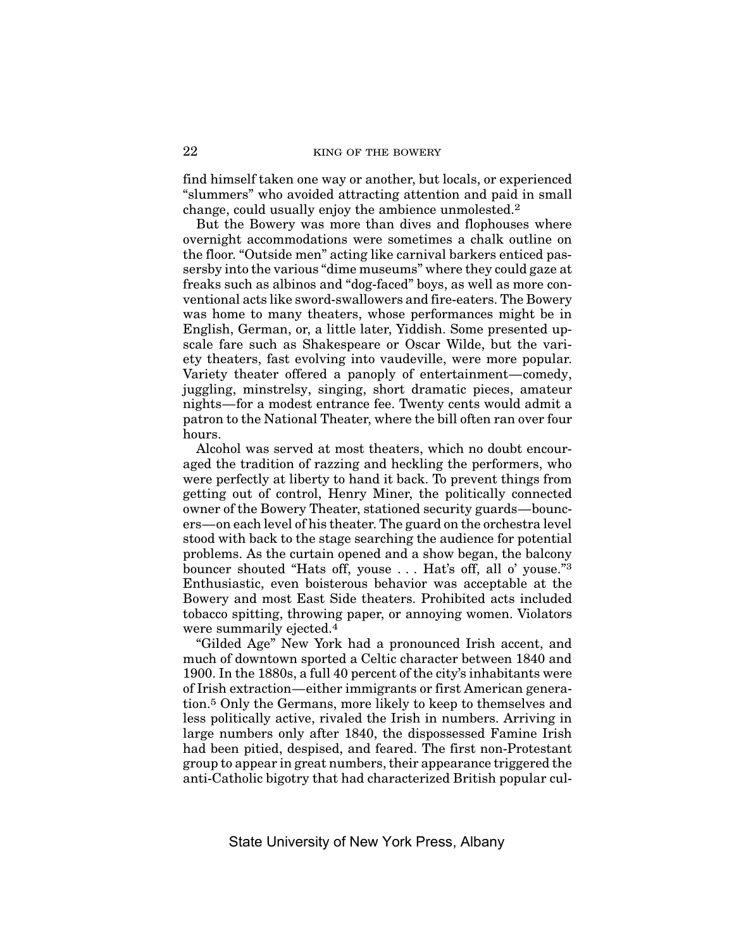find himself taken one way or another, but locals, or experienced "slummers" who avoided attracting attention and paid in small change, could usually enjoy the ambience unmolested.2

But the Bowery was more than dives and flophouses where overnight accommodations were sometimes a chalk outline on the floor. "Outside men" acting like carnival barkers enticed passersby into the various "dime museums" where they could gaze at freaks such as albinos and "dog-faced" boys, as well as more conventional acts like sword-swallowers and fire-eaters. The Bowery was home to many theaters, whose performances might be in English, German, or, a little later, Yiddish. Some presented upscale fare such as Shakespeare or Oscar Wilde, but the variety theaters, fast evolving into vaudeville, were more popular. Variety theater offered a panoply of entertainment—comedy, juggling, minstrelsy, singing, short dramatic pieces, amateur nights—for a modest entrance fee. Twenty cents would admit a patron to the National Theater, where the bill often ran over four hours.

Alcohol was served at most theaters, which no doubt encouraged the tradition of razzing and heckling the performers, who were perfectly at liberty to hand it back. To prevent things from getting out of control, Henry Miner, the politically connected owner of the Bowery Theater, stationed security guards—bouncers—on each level of his theater. The guard on the orchestra level stood with back to the stage searching the audience for potential problems. As the curtain opened and a show began, the balcony bouncer shouted "Hats off, youse . . . Hat's off, all o' youse."3 Enthusiastic, even boisterous behavior was acceptable at the Bowery and most East Side theaters. Prohibited acts included tobacco spitting, throwing paper, or annoying women. Violators were summarily ejected.<sup>4</sup>

"Gilded Age" New York had a pronounced Irish accent, and much of downtown sported a Celtic character between 1840 and 1900. In the 1880s, a full 40 percent of the city's inhabitants were of Irish extraction—either immigrants or first American generation.5 Only the Germans, more likely to keep to themselves and less politically active, rivaled the Irish in numbers. Arriving in large numbers only after 1840, the dispossessed Famine Irish had been pitied, despised, and feared. The first non-Protestant group to appear in great numbers, their appearance triggered the anti-Catholic bigotry that had characterized British popular cul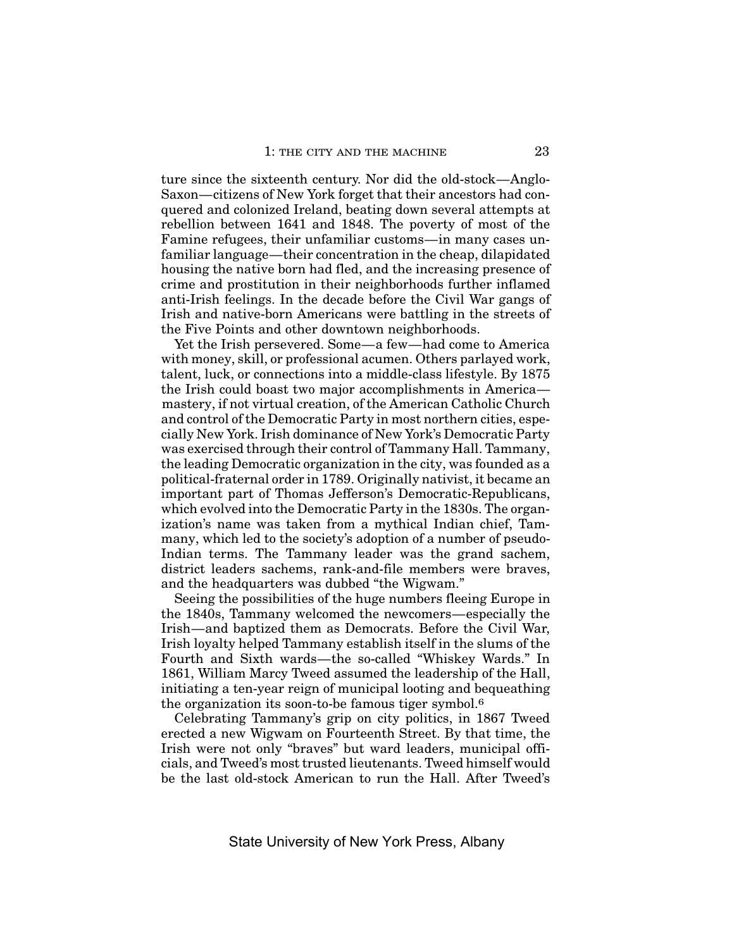ture since the sixteenth century. Nor did the old-stock—Anglo-Saxon—citizens of New York forget that their ancestors had conquered and colonized Ireland, beating down several attempts at rebellion between 1641 and 1848. The poverty of most of the Famine refugees, their unfamiliar customs—in many cases unfamiliar language—their concentration in the cheap, dilapidated housing the native born had fled, and the increasing presence of crime and prostitution in their neighborhoods further inflamed anti-Irish feelings. In the decade before the Civil War gangs of Irish and native-born Americans were battling in the streets of the Five Points and other downtown neighborhoods.

Yet the Irish persevered. Some—a few—had come to America with money, skill, or professional acumen. Others parlayed work, talent, luck, or connections into a middle-class lifestyle. By 1875 the Irish could boast two major accomplishments in America mastery, if not virtual creation, of the American Catholic Church and control of the Democratic Party in most northern cities, especially New York. Irish dominance of New York's Democratic Party was exercised through their control of Tammany Hall. Tammany, the leading Democratic organization in the city, was founded as a political-fraternal order in 1789. Originally nativist, it became an important part of Thomas Jefferson's Democratic-Republicans, which evolved into the Democratic Party in the 1830s. The organization's name was taken from a mythical Indian chief, Tammany, which led to the society's adoption of a number of pseudo-Indian terms. The Tammany leader was the grand sachem, district leaders sachems, rank-and-file members were braves, and the headquarters was dubbed "the Wigwam."

Seeing the possibilities of the huge numbers fleeing Europe in the 1840s, Tammany welcomed the newcomers—especially the Irish—and baptized them as Democrats. Before the Civil War, Irish loyalty helped Tammany establish itself in the slums of the Fourth and Sixth wards—the so-called "Whiskey Wards." In 1861, William Marcy Tweed assumed the leadership of the Hall, initiating a ten-year reign of municipal looting and bequeathing the organization its soon-to-be famous tiger symbol.6

Celebrating Tammany's grip on city politics, in 1867 Tweed erected a new Wigwam on Fourteenth Street. By that time, the Irish were not only "braves" but ward leaders, municipal officials, and Tweed's most trusted lieutenants. Tweed himself would be the last old-stock American to run the Hall. After Tweed's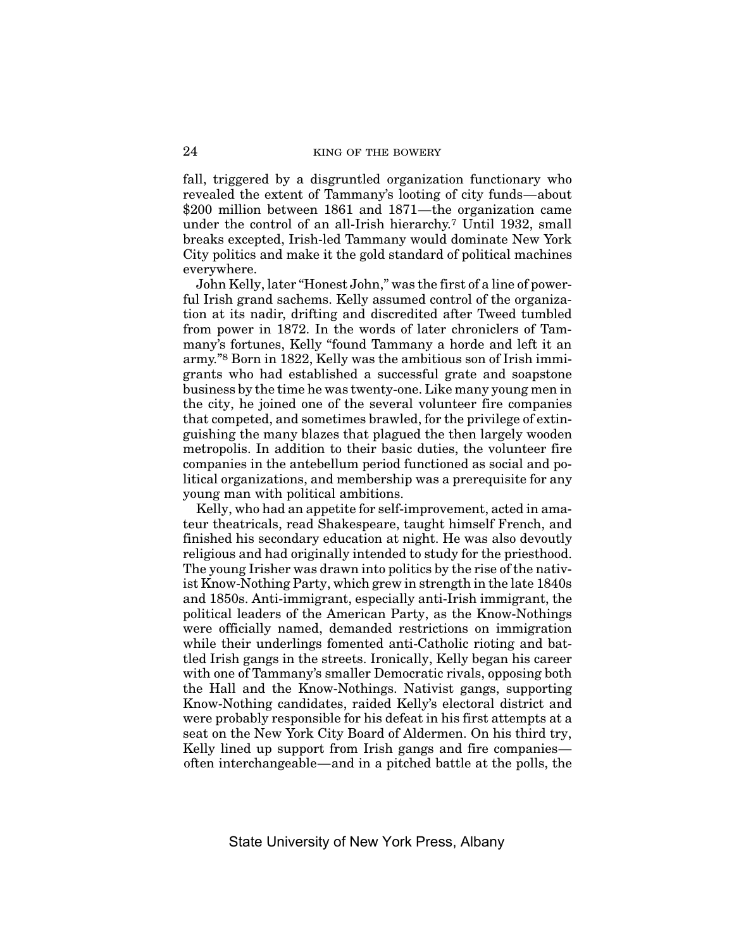fall, triggered by a disgruntled organization functionary who revealed the extent of Tammany's looting of city funds—about \$200 million between 1861 and 1871—the organization came under the control of an all-Irish hierarchy.7 Until 1932, small breaks excepted, Irish-led Tammany would dominate New York City politics and make it the gold standard of political machines everywhere.

John Kelly, later "Honest John," was the first of a line of powerful Irish grand sachems. Kelly assumed control of the organization at its nadir, drifting and discredited after Tweed tumbled from power in 1872. In the words of later chroniclers of Tammany's fortunes, Kelly "found Tammany a horde and left it an army."8 Born in 1822, Kelly was the ambitious son of Irish immigrants who had established a successful grate and soapstone business by the time he was twenty-one. Like many young men in the city, he joined one of the several volunteer fire companies that competed, and sometimes brawled, for the privilege of extinguishing the many blazes that plagued the then largely wooden metropolis. In addition to their basic duties, the volunteer fire companies in the antebellum period functioned as social and political organizations, and membership was a prerequisite for any young man with political ambitions.

Kelly, who had an appetite for self-improvement, acted in amateur theatricals, read Shakespeare, taught himself French, and finished his secondary education at night. He was also devoutly religious and had originally intended to study for the priesthood. The young Irisher was drawn into politics by the rise of the nativist Know-Nothing Party, which grew in strength in the late 1840s and 1850s. Anti-immigrant, especially anti-Irish immigrant, the political leaders of the American Party, as the Know-Nothings were officially named, demanded restrictions on immigration while their underlings fomented anti-Catholic rioting and battled Irish gangs in the streets. Ironically, Kelly began his career with one of Tammany's smaller Democratic rivals, opposing both the Hall and the Know-Nothings. Nativist gangs, supporting Know-Nothing candidates, raided Kelly's electoral district and were probably responsible for his defeat in his first attempts at a seat on the New York City Board of Aldermen. On his third try, Kelly lined up support from Irish gangs and fire companies often interchangeable—and in a pitched battle at the polls, the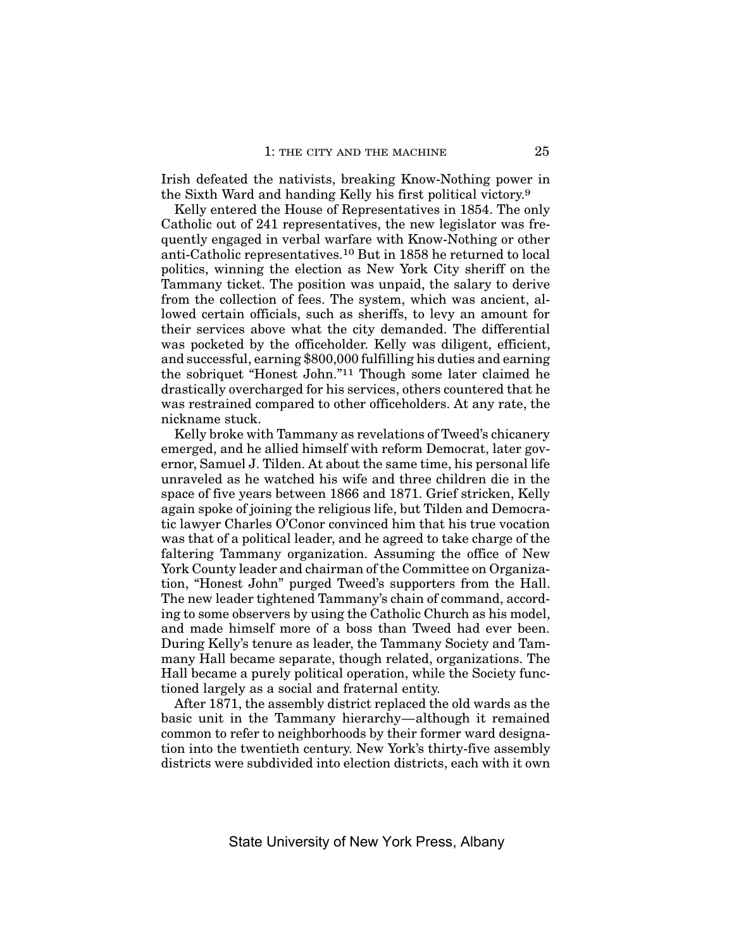Irish defeated the nativists, breaking Know-Nothing power in the Sixth Ward and handing Kelly his first political victory.9

Kelly entered the House of Representatives in 1854. The only Catholic out of 241 representatives, the new legislator was frequently engaged in verbal warfare with Know-Nothing or other anti-Catholic representatives.10 But in 1858 he returned to local politics, winning the election as New York City sheriff on the Tammany ticket. The position was unpaid, the salary to derive from the collection of fees. The system, which was ancient, allowed certain officials, such as sheriffs, to levy an amount for their services above what the city demanded. The differential was pocketed by the officeholder. Kelly was diligent, efficient, and successful, earning \$800,000 fulfilling his duties and earning the sobriquet "Honest John."11 Though some later claimed he drastically overcharged for his services, others countered that he was restrained compared to other officeholders. At any rate, the nickname stuck.

Kelly broke with Tammany as revelations of Tweed's chicanery emerged, and he allied himself with reform Democrat, later governor, Samuel J. Tilden. At about the same time, his personal life unraveled as he watched his wife and three children die in the space of five years between 1866 and 1871. Grief stricken, Kelly again spoke of joining the religious life, but Tilden and Democratic lawyer Charles O'Conor convinced him that his true vocation was that of a political leader, and he agreed to take charge of the faltering Tammany organization. Assuming the office of New York County leader and chairman of the Committee on Organization, "Honest John" purged Tweed's supporters from the Hall. The new leader tightened Tammany's chain of command, according to some observers by using the Catholic Church as his model, and made himself more of a boss than Tweed had ever been. During Kelly's tenure as leader, the Tammany Society and Tammany Hall became separate, though related, organizations. The Hall became a purely political operation, while the Society functioned largely as a social and fraternal entity.

After 1871, the assembly district replaced the old wards as the basic unit in the Tammany hierarchy—although it remained common to refer to neighborhoods by their former ward designation into the twentieth century. New York's thirty-five assembly districts were subdivided into election districts, each with it own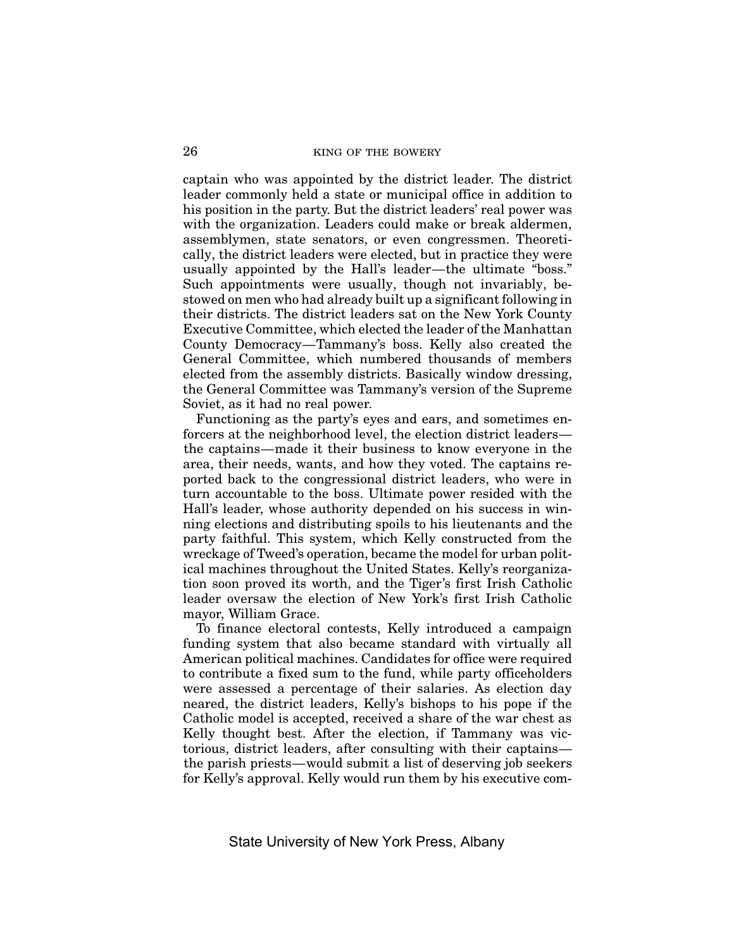captain who was appointed by the district leader. The district leader commonly held a state or municipal office in addition to his position in the party. But the district leaders' real power was with the organization. Leaders could make or break aldermen, assemblymen, state senators, or even congressmen. Theoretically, the district leaders were elected, but in practice they were usually appointed by the Hall's leader—the ultimate "boss." Such appointments were usually, though not invariably, bestowed on men who had already built up a significant following in their districts. The district leaders sat on the New York County Executive Committee, which elected the leader of the Manhattan County Democracy—Tammany's boss. Kelly also created the General Committee, which numbered thousands of members elected from the assembly districts. Basically window dressing, the General Committee was Tammany's version of the Supreme Soviet, as it had no real power.

Functioning as the party's eyes and ears, and sometimes enforcers at the neighborhood level, the election district leaders the captains—made it their business to know everyone in the area, their needs, wants, and how they voted. The captains reported back to the congressional district leaders, who were in turn accountable to the boss. Ultimate power resided with the Hall's leader, whose authority depended on his success in winning elections and distributing spoils to his lieutenants and the party faithful. This system, which Kelly constructed from the wreckage of Tweed's operation, became the model for urban political machines throughout the United States. Kelly's reorganization soon proved its worth, and the Tiger's first Irish Catholic leader oversaw the election of New York's first Irish Catholic mayor, William Grace.

To finance electoral contests, Kelly introduced a campaign funding system that also became standard with virtually all American political machines. Candidates for office were required to contribute a fixed sum to the fund, while party officeholders were assessed a percentage of their salaries. As election day neared, the district leaders, Kelly's bishops to his pope if the Catholic model is accepted, received a share of the war chest as Kelly thought best. After the election, if Tammany was victorious, district leaders, after consulting with their captains the parish priests—would submit a list of deserving job seekers for Kelly's approval. Kelly would run them by his executive com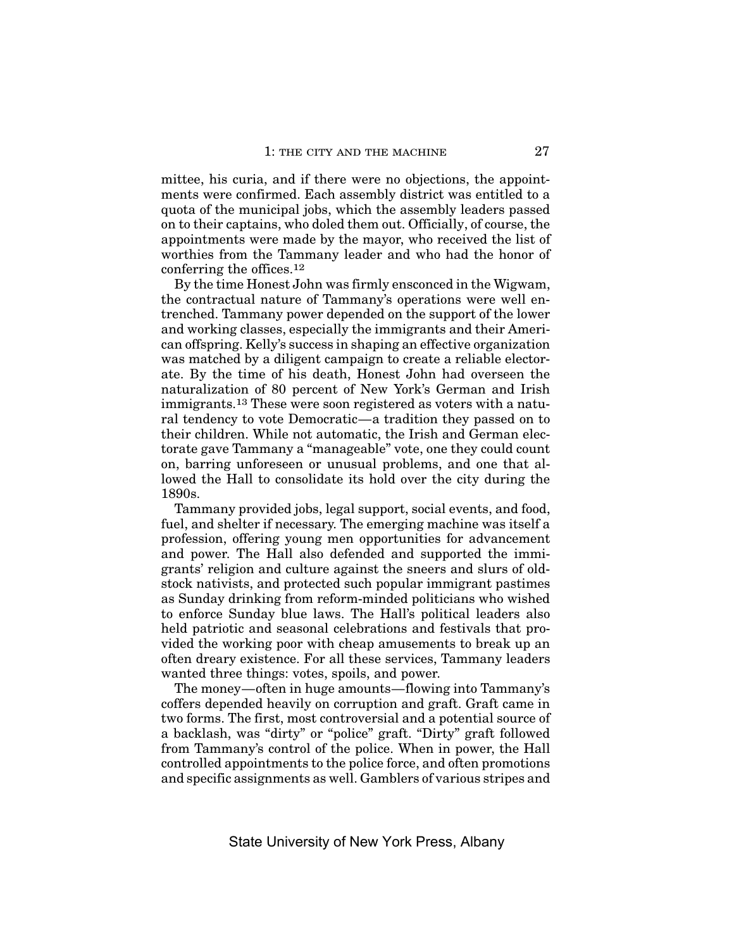mittee, his curia, and if there were no objections, the appointments were confirmed. Each assembly district was entitled to a quota of the municipal jobs, which the assembly leaders passed on to their captains, who doled them out. Officially, of course, the appointments were made by the mayor, who received the list of worthies from the Tammany leader and who had the honor of conferring the offices.12

By the time Honest John was firmly ensconced in the Wigwam, the contractual nature of Tammany's operations were well entrenched. Tammany power depended on the support of the lower and working classes, especially the immigrants and their American offspring. Kelly's success in shaping an effective organization was matched by a diligent campaign to create a reliable electorate. By the time of his death, Honest John had overseen the naturalization of 80 percent of New York's German and Irish immigrants.13 These were soon registered as voters with a natural tendency to vote Democratic—a tradition they passed on to their children. While not automatic, the Irish and German electorate gave Tammany a "manageable" vote, one they could count on, barring unforeseen or unusual problems, and one that allowed the Hall to consolidate its hold over the city during the 1890s.

Tammany provided jobs, legal support, social events, and food, fuel, and shelter if necessary. The emerging machine was itself a profession, offering young men opportunities for advancement and power. The Hall also defended and supported the immigrants' religion and culture against the sneers and slurs of oldstock nativists, and protected such popular immigrant pastimes as Sunday drinking from reform-minded politicians who wished to enforce Sunday blue laws. The Hall's political leaders also held patriotic and seasonal celebrations and festivals that provided the working poor with cheap amusements to break up an often dreary existence. For all these services, Tammany leaders wanted three things: votes, spoils, and power.

The money—often in huge amounts—flowing into Tammany's coffers depended heavily on corruption and graft. Graft came in two forms. The first, most controversial and a potential source of a backlash, was "dirty" or "police" graft. "Dirty" graft followed from Tammany's control of the police. When in power, the Hall controlled appointments to the police force, and often promotions and specific assignments as well. Gamblers of various stripes and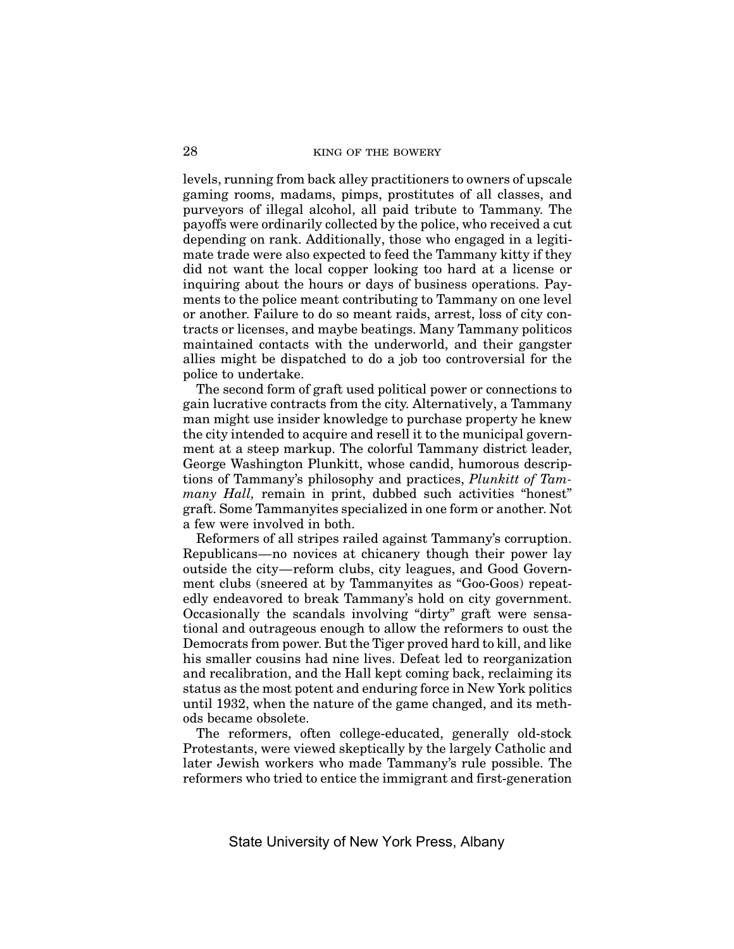levels, running from back alley practitioners to owners of upscale gaming rooms, madams, pimps, prostitutes of all classes, and purveyors of illegal alcohol, all paid tribute to Tammany. The payoffs were ordinarily collected by the police, who received a cut depending on rank. Additionally, those who engaged in a legitimate trade were also expected to feed the Tammany kitty if they did not want the local copper looking too hard at a license or inquiring about the hours or days of business operations. Payments to the police meant contributing to Tammany on one level or another. Failure to do so meant raids, arrest, loss of city contracts or licenses, and maybe beatings. Many Tammany politicos maintained contacts with the underworld, and their gangster allies might be dispatched to do a job too controversial for the police to undertake.

The second form of graft used political power or connections to gain lucrative contracts from the city. Alternatively, a Tammany man might use insider knowledge to purchase property he knew the city intended to acquire and resell it to the municipal government at a steep markup. The colorful Tammany district leader, George Washington Plunkitt, whose candid, humorous descriptions of Tammany's philosophy and practices, *Plunkitt of Tammany Hall*, remain in print, dubbed such activities "honest" graft. Some Tammanyites specialized in one form or another. Not a few were involved in both.

Reformers of all stripes railed against Tammany's corruption. Republicans—no novices at chicanery though their power lay outside the city—reform clubs, city leagues, and Good Government clubs (sneered at by Tammanyites as "Goo-Goos) repeatedly endeavored to break Tammany's hold on city government. Occasionally the scandals involving "dirty" graft were sensational and outrageous enough to allow the reformers to oust the Democrats from power. But the Tiger proved hard to kill, and like his smaller cousins had nine lives. Defeat led to reorganization and recalibration, and the Hall kept coming back, reclaiming its status as the most potent and enduring force in New York politics until 1932, when the nature of the game changed, and its methods became obsolete.

The reformers, often college-educated, generally old-stock Protestants, were viewed skeptically by the largely Catholic and later Jewish workers who made Tammany's rule possible. The reformers who tried to entice the immigrant and first-generation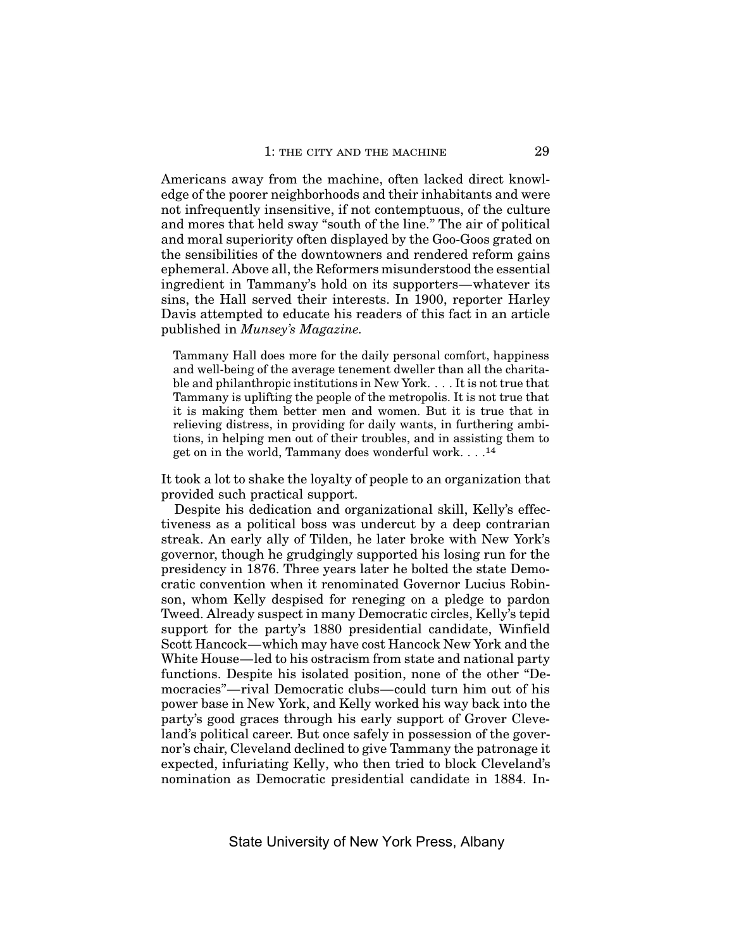Americans away from the machine, often lacked direct knowledge of the poorer neighborhoods and their inhabitants and were not infrequently insensitive, if not contemptuous, of the culture and mores that held sway "south of the line." The air of political and moral superiority often displayed by the Goo-Goos grated on the sensibilities of the downtowners and rendered reform gains ephemeral. Above all, the Reformers misunderstood the essential ingredient in Tammany's hold on its supporters—whatever its sins, the Hall served their interests. In 1900, reporter Harley Davis attempted to educate his readers of this fact in an article published in *Munsey's Magazine.*

Tammany Hall does more for the daily personal comfort, happiness and well-being of the average tenement dweller than all the charitable and philanthropic institutions in New York. . . . It is not true that Tammany is uplifting the people of the metropolis. It is not true that it is making them better men and women. But it is true that in relieving distress, in providing for daily wants, in furthering ambitions, in helping men out of their troubles, and in assisting them to get on in the world, Tammany does wonderful work....14

It took a lot to shake the loyalty of people to an organization that provided such practical support.

Despite his dedication and organizational skill, Kelly's effectiveness as a political boss was undercut by a deep contrarian streak. An early ally of Tilden, he later broke with New York's governor, though he grudgingly supported his losing run for the presidency in 1876. Three years later he bolted the state Democratic convention when it renominated Governor Lucius Robinson, whom Kelly despised for reneging on a pledge to pardon Tweed. Already suspect in many Democratic circles, Kelly's tepid support for the party's 1880 presidential candidate, Winfield Scott Hancock—which may have cost Hancock New York and the White House—led to his ostracism from state and national party functions. Despite his isolated position, none of the other "Democracies"—rival Democratic clubs—could turn him out of his power base in New York, and Kelly worked his way back into the party's good graces through his early support of Grover Cleveland's political career. But once safely in possession of the governor's chair, Cleveland declined to give Tammany the patronage it expected, infuriating Kelly, who then tried to block Cleveland's nomination as Democratic presidential candidate in 1884. In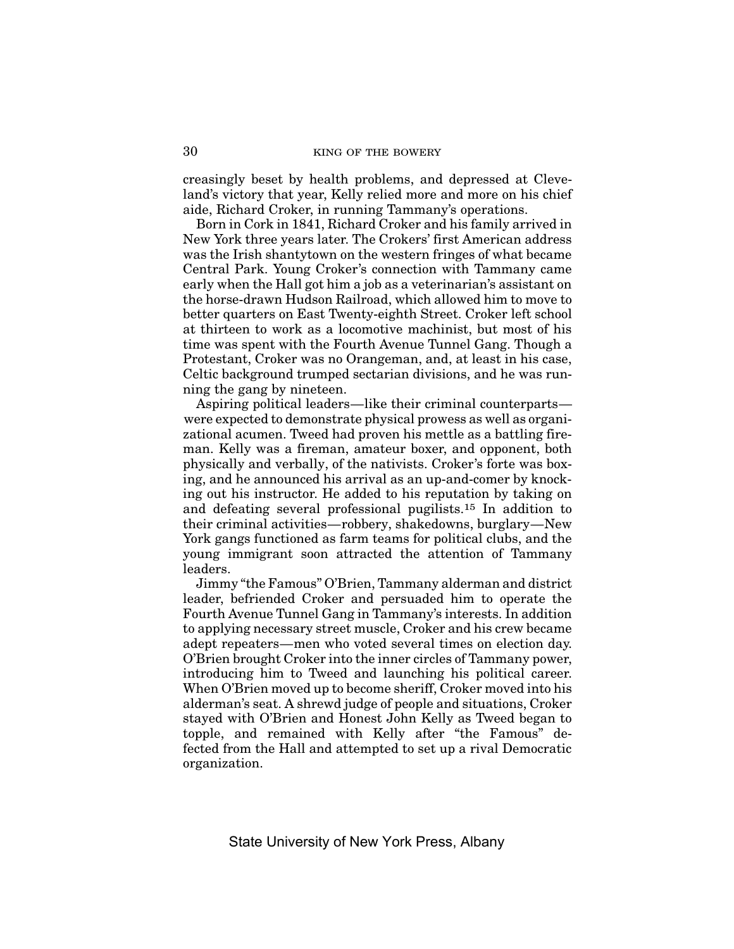creasingly beset by health problems, and depressed at Cleveland's victory that year, Kelly relied more and more on his chief aide, Richard Croker, in running Tammany's operations.

Born in Cork in 1841, Richard Croker and his family arrived in New York three years later. The Crokers' first American address was the Irish shantytown on the western fringes of what became Central Park. Young Croker's connection with Tammany came early when the Hall got him a job as a veterinarian's assistant on the horse-drawn Hudson Railroad, which allowed him to move to better quarters on East Twenty-eighth Street. Croker left school at thirteen to work as a locomotive machinist, but most of his time was spent with the Fourth Avenue Tunnel Gang. Though a Protestant, Croker was no Orangeman, and, at least in his case, Celtic background trumped sectarian divisions, and he was running the gang by nineteen.

Aspiring political leaders—like their criminal counterparts were expected to demonstrate physical prowess as well as organizational acumen. Tweed had proven his mettle as a battling fireman. Kelly was a fireman, amateur boxer, and opponent, both physically and verbally, of the nativists. Croker's forte was boxing, and he announced his arrival as an up-and-comer by knocking out his instructor. He added to his reputation by taking on and defeating several professional pugilists.15 In addition to their criminal activities—robbery, shakedowns, burglary—New York gangs functioned as farm teams for political clubs, and the young immigrant soon attracted the attention of Tammany leaders.

Jimmy "the Famous" O'Brien, Tammany alderman and district leader, befriended Croker and persuaded him to operate the Fourth Avenue Tunnel Gang in Tammany's interests. In addition to applying necessary street muscle, Croker and his crew became adept repeaters—men who voted several times on election day. O'Brien brought Croker into the inner circles of Tammany power, introducing him to Tweed and launching his political career. When O'Brien moved up to become sheriff, Croker moved into his alderman's seat. A shrewd judge of people and situations, Croker stayed with O'Brien and Honest John Kelly as Tweed began to topple, and remained with Kelly after "the Famous" defected from the Hall and attempted to set up a rival Democratic organization.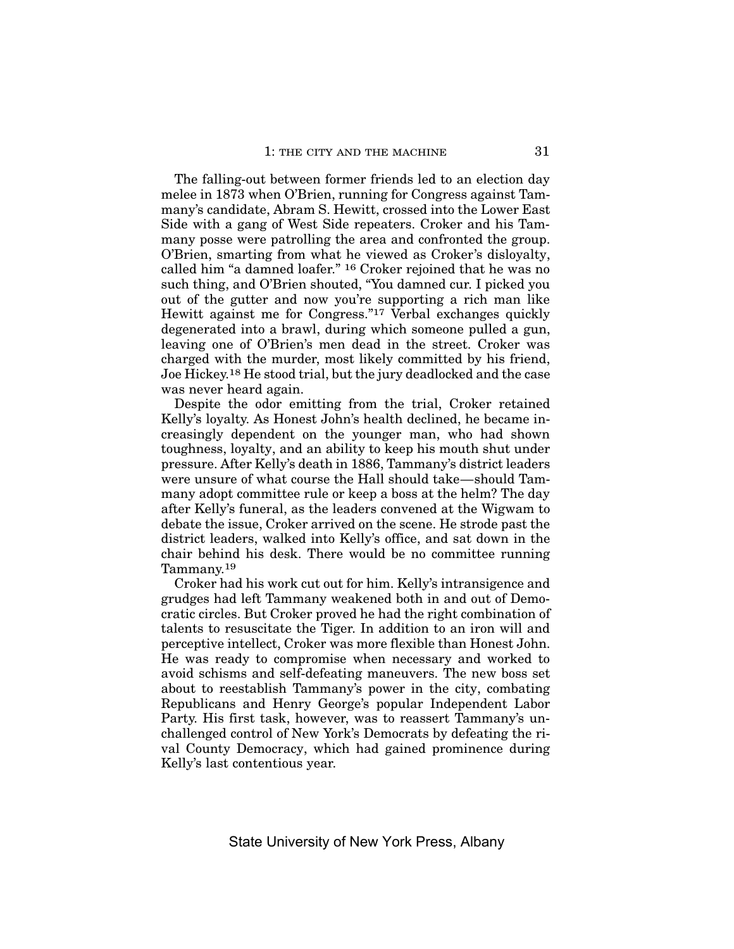The falling-out between former friends led to an election day melee in 1873 when O'Brien, running for Congress against Tammany's candidate, Abram S. Hewitt, crossed into the Lower East Side with a gang of West Side repeaters. Croker and his Tammany posse were patrolling the area and confronted the group. O'Brien, smarting from what he viewed as Croker's disloyalty, called him "a damned loafer." 16 Croker rejoined that he was no such thing, and O'Brien shouted, "You damned cur. I picked you out of the gutter and now you're supporting a rich man like Hewitt against me for Congress."17 Verbal exchanges quickly degenerated into a brawl, during which someone pulled a gun, leaving one of O'Brien's men dead in the street. Croker was charged with the murder, most likely committed by his friend, Joe Hickey.18 He stood trial, but the jury deadlocked and the case was never heard again.

Despite the odor emitting from the trial, Croker retained Kelly's loyalty. As Honest John's health declined, he became increasingly dependent on the younger man, who had shown toughness, loyalty, and an ability to keep his mouth shut under pressure. After Kelly's death in 1886, Tammany's district leaders were unsure of what course the Hall should take—should Tammany adopt committee rule or keep a boss at the helm? The day after Kelly's funeral, as the leaders convened at the Wigwam to debate the issue, Croker arrived on the scene. He strode past the district leaders, walked into Kelly's office, and sat down in the chair behind his desk. There would be no committee running Tammany.19

Croker had his work cut out for him. Kelly's intransigence and grudges had left Tammany weakened both in and out of Democratic circles. But Croker proved he had the right combination of talents to resuscitate the Tiger. In addition to an iron will and perceptive intellect, Croker was more flexible than Honest John. He was ready to compromise when necessary and worked to avoid schisms and self-defeating maneuvers. The new boss set about to reestablish Tammany's power in the city, combating Republicans and Henry George's popular Independent Labor Party. His first task, however, was to reassert Tammany's unchallenged control of New York's Democrats by defeating the rival County Democracy, which had gained prominence during Kelly's last contentious year.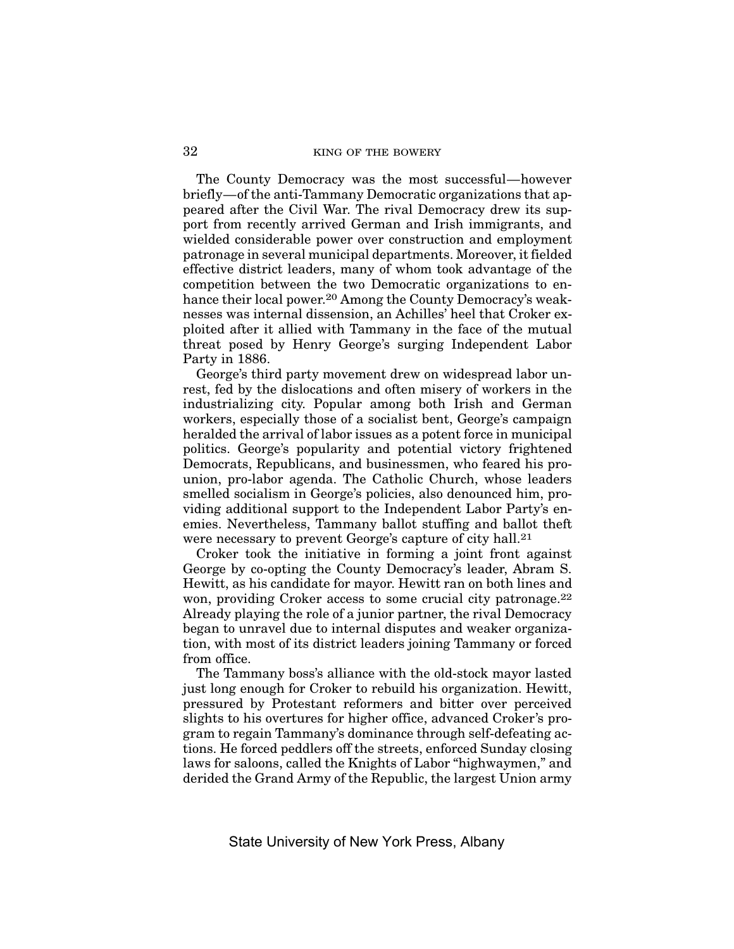The County Democracy was the most successful—however briefly—of the anti-Tammany Democratic organizations that appeared after the Civil War. The rival Democracy drew its support from recently arrived German and Irish immigrants, and wielded considerable power over construction and employment patronage in several municipal departments. Moreover, it fielded effective district leaders, many of whom took advantage of the competition between the two Democratic organizations to enhance their local power.<sup>20</sup> Among the County Democracy's weaknesses was internal dissension, an Achilles' heel that Croker exploited after it allied with Tammany in the face of the mutual threat posed by Henry George's surging Independent Labor Party in 1886.

George's third party movement drew on widespread labor unrest, fed by the dislocations and often misery of workers in the industrializing city. Popular among both Irish and German workers, especially those of a socialist bent, George's campaign heralded the arrival of labor issues as a potent force in municipal politics. George's popularity and potential victory frightened Democrats, Republicans, and businessmen, who feared his prounion, pro-labor agenda. The Catholic Church, whose leaders smelled socialism in George's policies, also denounced him, providing additional support to the Independent Labor Party's enemies. Nevertheless, Tammany ballot stuffing and ballot theft were necessary to prevent George's capture of city hall.21

Croker took the initiative in forming a joint front against George by co-opting the County Democracy's leader, Abram S. Hewitt, as his candidate for mayor. Hewitt ran on both lines and won, providing Croker access to some crucial city patronage.22 Already playing the role of a junior partner, the rival Democracy began to unravel due to internal disputes and weaker organization, with most of its district leaders joining Tammany or forced from office.

The Tammany boss's alliance with the old-stock mayor lasted just long enough for Croker to rebuild his organization. Hewitt, pressured by Protestant reformers and bitter over perceived slights to his overtures for higher office, advanced Croker's program to regain Tammany's dominance through self-defeating actions. He forced peddlers off the streets, enforced Sunday closing laws for saloons, called the Knights of Labor "highwaymen," and derided the Grand Army of the Republic, the largest Union army